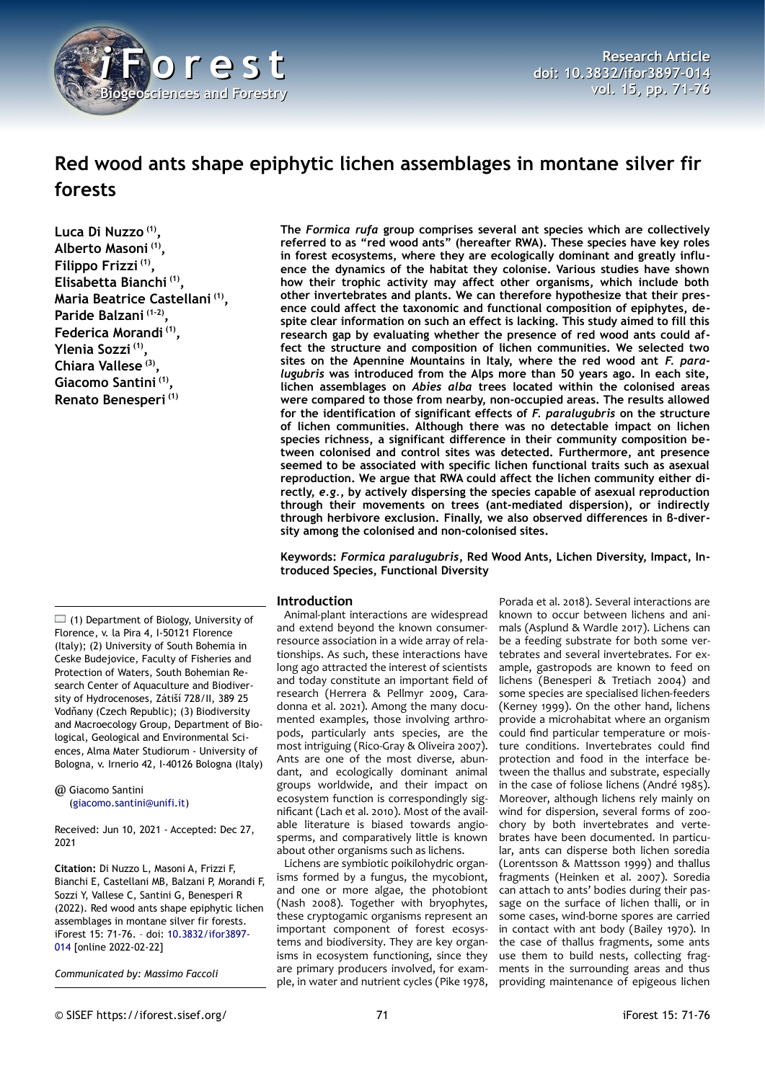

# **Red wood ants shape epiphytic lichen assemblages in montane silver fir forests**

**Luca Di Nuzzo (1) , Alberto Masoni (1) , Filippo Frizzi (1) , Elisabetta Bianchi (1) , Maria Beatrice Castellani (1) , Paride Balzani (1-2) , Federica Morandi (1) , Ylenia Sozzi (1) , Chiara Vallese (3) , Giacomo Santini (1) , Renato Benesperi (1)**

 $\Box$  (1) Department of Biology, University of Florence, v. la Pira 4, I-50121 Florence (Italy); (2) University of South Bohemia in Ceske Budejovice, Faculty of Fisheries and Protection of Waters, South Bohemian Research Center of Aquaculture and Biodiversity of Hydrocenoses, Zátiší 728/II, 389 25 Vodňany (Czech Republic); (3) Biodiversity and Macroecology Group, Department of Biological, Geological and Environmental Sciences, Alma Mater Studiorum - University of Bologna, v. Irnerio 42, I-40126 Bologna (Italy)

@ Giacomo Santini ([giacomo.santini@unifi.it](mailto:giacomo.santini@unifi.it))

Received: Jun 10, 2021 - Accepted: Dec 27, 2021

**Citation:** Di Nuzzo L, Masoni A, Frizzi F, Bianchi E, Castellani MB, Balzani P, Morandi F, Sozzi Y, Vallese C, Santini G, Benesperi R (2022). Red wood ants shape epiphytic lichen assemblages in montane silver fir forests. iForest 15: 71-76. – doi: [10.3832/ifor3897-](http://www.sisef.it/iforest/contents/?id=ifor3897-014) [014](http://www.sisef.it/iforest/contents/?id=ifor3897-014) [online 2022-02-22]

*Communicated by: Massimo Faccoli*

**The** *Formica rufa* **group comprises several ant species which are collectively referred to as "red wood ants" (hereafter RWA). These species have key roles in forest ecosystems, where they are ecologically dominant and greatly influence the dynamics of the habitat they colonise. Various studies have shown how their trophic activity may affect other organisms, which include both other invertebrates and plants. We can therefore hypothesize that their presence could affect the taxonomic and functional composition of epiphytes, despite clear information on such an effect is lacking. This study aimed to fill this research gap by evaluating whether the presence of red wood ants could affect the structure and composition of lichen communities. We selected two sites on the Apennine Mountains in Italy, where the red wood ant** *F. paralugubris* **was introduced from the Alps more than 50 years ago. In each site, lichen assemblages on** *Abies alba* **trees located within the colonised areas were compared to those from nearby, non-occupied areas. The results allowed for the identification of significant effects of** *F. paralugubris* **on the structure of lichen communities. Although there was no detectable impact on lichen species richness, a significant difference in their community composition between colonised and control sites was detected. Furthermore, ant presence seemed to be associated with specific lichen functional traits such as asexual reproduction. We argue that RWA could affect the lichen community either directly,** *e.g.***, by actively dispersing the species capable of asexual reproduction through their movements on trees (ant-mediated dispersion), or indirectly through herbivore exclusion. Finally, we also observed differences in β-diversity among the colonised and non-colonised sites.**

**Keywords:** *Formica paralugubris***, Red Wood Ants, Lichen Diversity, Impact, Introduced Species, Functional Diversity**

#### **Introduction**

Animal-plant interactions are widespread and extend beyond the known consumerresource association in a wide array of relationships. As such, these interactions have long ago attracted the interest of scientists and today constitute an important field of research (Herrera & Pellmyr 2009, Caradonna et al. 2021). Among the many documented examples, those involving arthropods, particularly ants species, are the most intriguing (Rico-Gray & Oliveira 2007). Ants are one of the most diverse, abundant, and ecologically dominant animal groups worldwide, and their impact on ecosystem function is correspondingly significant (Lach et al. 2010). Most of the available literature is biased towards angiosperms, and comparatively little is known about other organisms such as lichens.

Lichens are symbiotic poikilohydric organisms formed by a fungus, the mycobiont, and one or more algae, the photobiont (Nash 2008). Together with bryophytes, these cryptogamic organisms represent an important component of forest ecosystems and biodiversity. They are key organisms in ecosystem functioning, since they are primary producers involved, for example, in water and nutrient cycles (Pike 1978,

Porada et al. 2018). Several interactions are known to occur between lichens and animals (Asplund & Wardle 2017). Lichens can be a feeding substrate for both some vertebrates and several invertebrates. For example, gastropods are known to feed on lichens (Benesperi & Tretiach 2004) and some species are specialised lichen-feeders (Kerney 1999). On the other hand, lichens provide a microhabitat where an organism could find particular temperature or moisture conditions. Invertebrates could find protection and food in the interface between the thallus and substrate, especially in the case of foliose lichens (André 1985). Moreover, although lichens rely mainly on wind for dispersion, several forms of zoochory by both invertebrates and vertebrates have been documented. In particular, ants can disperse both lichen soredia (Lorentsson & Mattsson 1999) and thallus fragments (Heinken et al. 2007). Soredia can attach to ants' bodies during their passage on the surface of lichen thalli, or in some cases, wind-borne spores are carried in contact with ant body (Bailey 1970). In the case of thallus fragments, some ants use them to build nests, collecting fragments in the surrounding areas and thus providing maintenance of epigeous lichen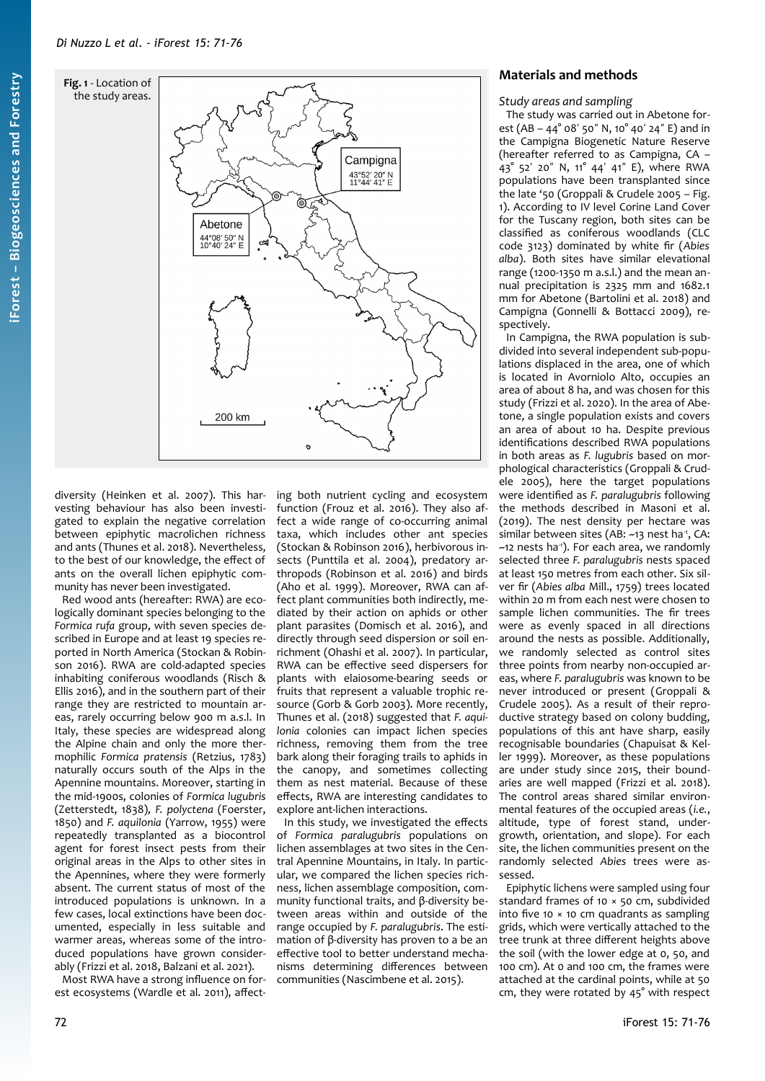<span id="page-1-0"></span>

diversity (Heinken et al. 2007). This harvesting behaviour has also been investigated to explain the negative correlation between epiphytic macrolichen richness and ants (Thunes et al. 2018). Nevertheless, to the best of our knowledge, the effect of ants on the overall lichen epiphytic community has never been investigated.

Red wood ants (hereafter: RWA) are ecologically dominant species belonging to the *Formica rufa* group, with seven species described in Europe and at least 19 species reported in North America (Stockan & Robinson 2016). RWA are cold-adapted species inhabiting coniferous woodlands (Risch & Ellis 2016), and in the southern part of their range they are restricted to mountain areas, rarely occurring below 900 m a.s.l. In Italy, these species are widespread along the Alpine chain and only the more thermophilic *Formica pratensis* (Retzius, 1783) naturally occurs south of the Alps in the Apennine mountains. Moreover, starting in the mid-1900s, colonies of *Formica lugubris* (Zetterstedt, 1838)*, F. polyctena* (Foerster, 1850) and *F. aquilonia* (Yarrow, 1955) were repeatedly transplanted as a biocontrol agent for forest insect pests from their original areas in the Alps to other sites in the Apennines, where they were formerly absent. The current status of most of the introduced populations is unknown. In a few cases, local extinctions have been documented, especially in less suitable and warmer areas, whereas some of the introduced populations have grown considerably (Frizzi et al. 2018, Balzani et al. 2021).

Most RWA have a strong influence on forest ecosystems (Wardle et al. 2011), affect-

ing both nutrient cycling and ecosystem function (Frouz et al. 2016). They also affect a wide range of co-occurring animal taxa, which includes other ant species (Stockan & Robinson 2016), herbivorous insects (Punttila et al. 2004), predatory arthropods (Robinson et al. 2016) and birds (Aho et al. 1999). Moreover, RWA can affect plant communities both indirectly, mediated by their action on aphids or other plant parasites (Domisch et al. 2016), and directly through seed dispersion or soil enrichment (Ohashi et al. 2007). In particular, RWA can be effective seed dispersers for plants with elaiosome-bearing seeds or fruits that represent a valuable trophic resource (Gorb & Gorb 2003). More recently, Thunes et al. (2018) suggested that *F. aquilonia* colonies can impact lichen species richness, removing them from the tree bark along their foraging trails to aphids in the canopy, and sometimes collecting them as nest material. Because of these effects, RWA are interesting candidates to explore ant-lichen interactions.

In this study, we investigated the effects of *Formica paralugubris* populations on lichen assemblages at two sites in the Central Apennine Mountains, in Italy. In particular, we compared the lichen species richness, lichen assemblage composition, community functional traits, and β-diversity between areas within and outside of the range occupied by *F. paralugubris*. The estimation of β-diversity has proven to a be an effective tool to better understand mechanisms determining differences between communities (Nascimbene et al. 2015).

## **Materials and methods**

#### *Study areas and sampling*

The study was carried out in Abetone forest (AB –  $44^{\circ}$  o8' 50" N, 10° 40' 24" E) and in the Campigna Biogenetic Nature Reserve (hereafter referred to as Campigna, CA – 43° 52' 20" N, 11° 44' 41" E), where RWA populations have been transplanted since the late '50 (Groppali & Crudele 2005 – [Fig.](#page-1-0) [1\)](#page-1-0). According to IV level Corine Land Cover for the Tuscany region, both sites can be classified as coniferous woodlands (CLC code 3123) dominated by white fir (*Abies alba*). Both sites have similar elevational range (1200-1350 m a.s.l.) and the mean annual precipitation is 2325 mm and 1682.1 mm for Abetone (Bartolini et al. 2018) and Campigna (Gonnelli & Bottacci 2009), respectively.

In Campigna, the RWA population is subdivided into several independent sub-populations displaced in the area, one of which is located in Avorniolo Alto, occupies an area of about 8 ha, and was chosen for this study (Frizzi et al. 2020). In the area of Abetone, a single population exists and covers an area of about 10 ha. Despite previous identifications described RWA populations in both areas as *F. lugubris* based on morphological characteristics (Groppali & Crudele 2005), here the target populations were identified as *F. paralugubris* following the methods described in Masoni et al. (2019). The nest density per hectare was similar between sites (AB: ~13 nest ha1, CA: ~12 nests ha<sup>-1</sup>). For each area, we randomly selected three *F. paralugubris* nests spaced at least 150 metres from each other. Six silver fir (*Abies alba* Mill., 1759) trees located within 20 m from each nest were chosen to sample lichen communities. The fir trees were as evenly spaced in all directions around the nests as possible. Additionally, we randomly selected as control sites three points from nearby non-occupied areas, where *F. paralugubris* was known to be never introduced or present (Groppali & Crudele 2005). As a result of their reproductive strategy based on colony budding, populations of this ant have sharp, easily recognisable boundaries (Chapuisat & Keller 1999). Moreover, as these populations are under study since 2015, their boundaries are well mapped (Frizzi et al. 2018). The control areas shared similar environmental features of the occupied areas (*i.e.*, altitude, type of forest stand, undergrowth, orientation, and slope). For each site, the lichen communities present on the randomly selected *Abies* trees were assessed.

Epiphytic lichens were sampled using four standard frames of 10 × 50 cm, subdivided into five 10  $\times$  10 cm quadrants as sampling grids, which were vertically attached to the tree trunk at three different heights above the soil (with the lower edge at 0, 50, and 100 cm). At 0 and 100 cm, the frames were attached at the cardinal points, while at 50 cm, they were rotated by 45° with respect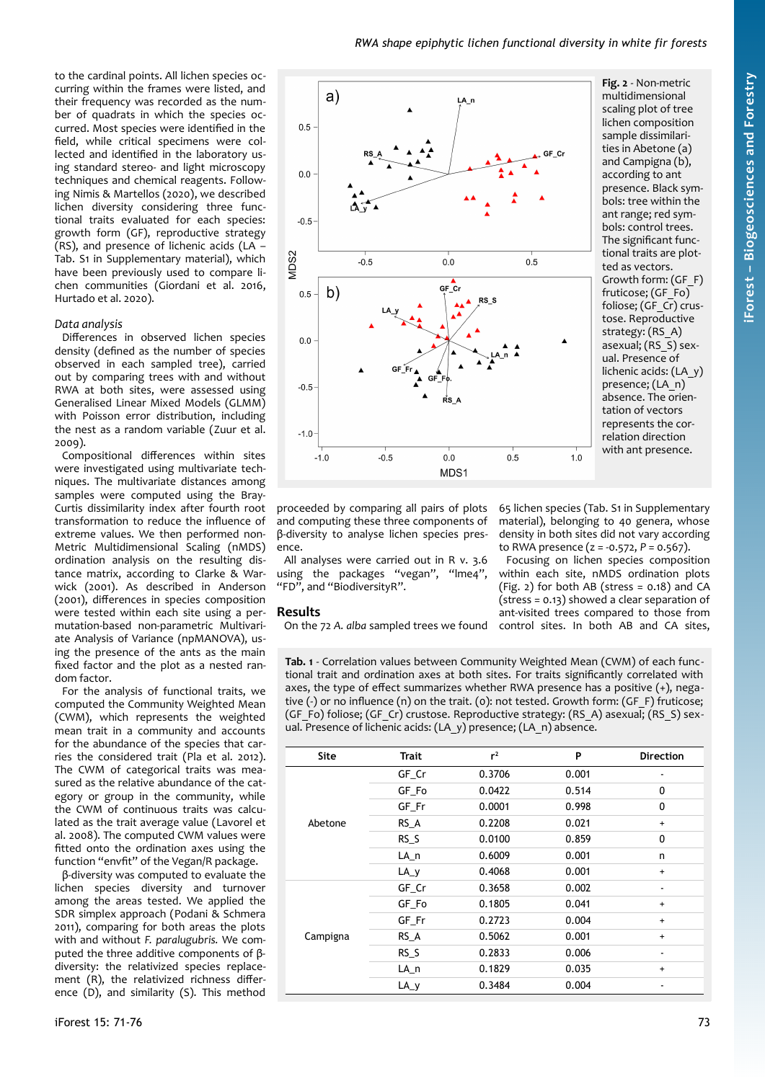to the cardinal points. All lichen species occurring within the frames were listed, and their frequency was recorded as the number of quadrats in which the species occurred. Most species were identified in the field, while critical specimens were collected and identified in the laboratory using standard stereo- and light microscopy techniques and chemical reagents. Following Nimis & Martellos (2020), we described lichen diversity considering three functional traits evaluated for each species: growth form (GF), reproductive strategy (RS), and presence of lichenic acids (LA – Tab. S1 in Supplementary material), which have been previously used to compare lichen communities (Giordani et al. 2016, Hurtado et al. 2020).

#### *Data analysis*

Differences in observed lichen species density (defined as the number of species observed in each sampled tree), carried out by comparing trees with and without RWA at both sites, were assessed using Generalised Linear Mixed Models (GLMM) with Poisson error distribution, including the nest as a random variable (Zuur et al. 2009).

Compositional differences within sites were investigated using multivariate techniques. The multivariate distances among samples were computed using the Bray-Curtis dissimilarity index after fourth root transformation to reduce the influence of extreme values. We then performed non-Metric Multidimensional Scaling (nMDS) ordination analysis on the resulting distance matrix, according to Clarke & Warwick (2001). As described in Anderson (2001), differences in species composition were tested within each site using a permutation-based non-parametric Multivariate Analysis of Variance (npMANOVA), using the presence of the ants as the main fixed factor and the plot as a nested random factor.

For the analysis of functional traits, we computed the Community Weighted Mean (CWM), which represents the weighted mean trait in a community and accounts for the abundance of the species that carries the considered trait (Pla et al. 2012). The CWM of categorical traits was measured as the relative abundance of the category or group in the community, while the CWM of continuous traits was calculated as the trait average value (Lavorel et al. 2008). The computed CWM values were fitted onto the ordination axes using the function "envfit" of the Vegan/R package.

β-diversity was computed to evaluate the lichen species diversity and turnover among the areas tested. We applied the SDR simplex approach (Podani & Schmera 2011), comparing for both areas the plots with and without *F. paralugubris.* We computed the three additive components of βdiversity: the relativized species replacement (R), the relativized richness difference (D), and similarity (S). This method



<span id="page-2-0"></span>**Fig. 2** - Non-metric multidimensional scaling plot of tree lichen composition sample dissimilarities in Abetone (a) and Campigna (b), according to ant presence. Black symbols: tree within the ant range; red symbols: control trees. The significant functional traits are plotted as vectors. Growth form: (GF\_F) fruticose; (GF\_Fo) foliose; (GF\_Cr) crustose. Reproductive strategy: (RS\_A) asexual;  $(RS\bar{S})$  sexual. Presence of lichenic acids: (LA\_y) presence; (LA\_n) absence. The orientation of vectors represents the correlation direction with ant presence.

65 lichen species (Tab. S1 in Supplementary material), belonging to 40 genera, whose density in both sites did not vary according to RWA presence (z = -0.572, *P* = 0.567). Focusing on lichen species composition within each site, nMDS ordination plots  $(Fig. 2)$  $(Fig. 2)$  for both AB (stress = 0.18) and CA (stress = 0.13) showed a clear separation of ant-visited trees compared to those from

proceeded by comparing all pairs of plots and computing these three components of β-diversity to analyse lichen species presence.

All analyses were carried out in R v. 3.6 using the packages "vegan", "Ime4", "FD", and "BiodiversityR".

#### **Results**

On the 72 A. alba sampled trees we found control sites. In both AB and CA sites,

<span id="page-2-1"></span>**Tab. 1** - Correlation values between Community Weighted Mean (CWM) of each functional trait and ordination axes at both sites. For traits significantly correlated with axes, the type of effect summarizes whether RWA presence has a positive (+), negative (-) or no influence (n) on the trait. (0): not tested. Growth form: (GF\_F) fruticose; (GF\_Fo) foliose; (GF\_Cr) crustose. Reproductive strategy: (RS\_A) asexual; (RS\_S) sexual. Presence of lichenic acids: (LA\_y) presence; (LA\_n) absence.

| <b>Site</b> | Trait  | $r^2$  | P     | <b>Direction</b> |
|-------------|--------|--------|-------|------------------|
| Abetone     | GF Cr  | 0.3706 | 0.001 |                  |
|             | GF Fo  | 0.0422 | 0.514 | 0                |
|             | GF Fr  | 0.0001 | 0.998 | 0                |
|             | RS A   | 0.2208 | 0.021 | $\ddot{}$        |
|             | $RS_S$ | 0.0100 | 0.859 | 0                |
|             | LA_n   | 0.6009 | 0.001 | n                |
|             | $LA_y$ | 0.4068 | 0.001 | $\ddot{}$        |
| Campigna    | GF_Cr  | 0.3658 | 0.002 |                  |
|             | GF Fo  | 0.1805 | 0.041 | $\ddot{}$        |
|             | GF_Fr  | 0.2723 | 0.004 | $\ddot{}$        |
|             | $RS_A$ | 0.5062 | 0.001 | $\ddot{}$        |
|             | RS S   | 0.2833 | 0.006 | $\blacksquare$   |
|             | LA n   | 0.1829 | 0.035 | $\ddot{}$        |
|             | $LA_y$ | 0.3484 | 0.004 |                  |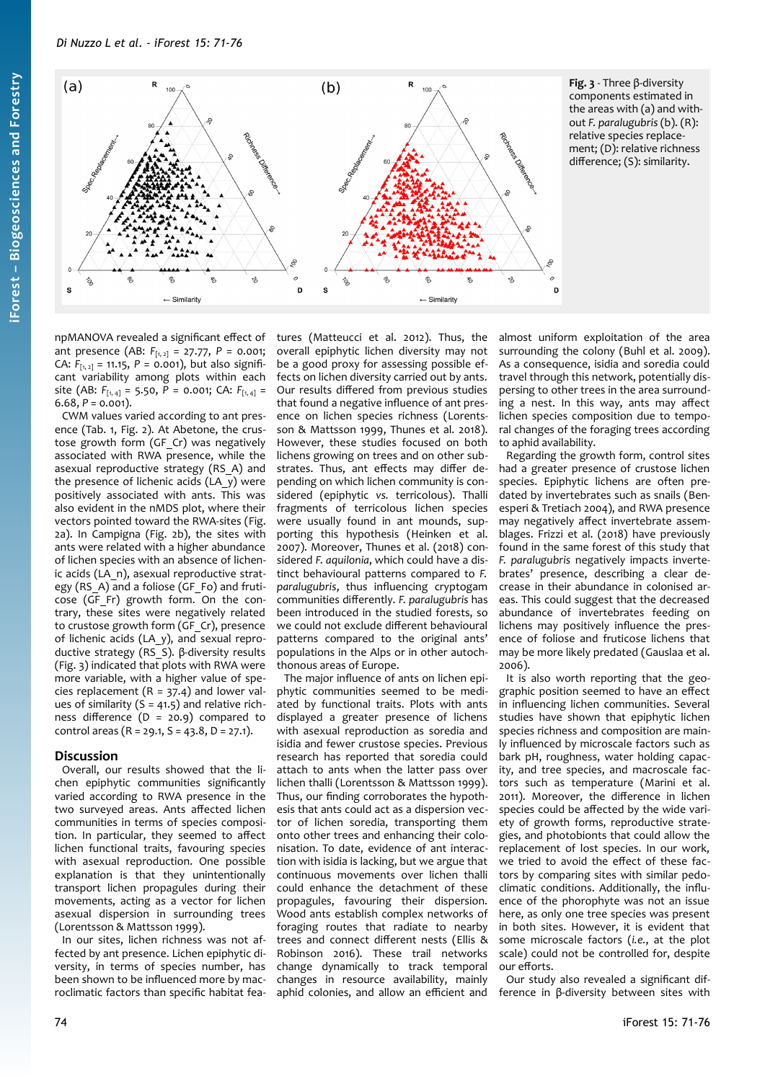

npMANOVA revealed a significant effect of ant presence (AB: *F*[1, 2] = 27.77, *P* = 0.001; CA:  $F_{[1, 2]} = 11.15$ ,  $P = 0.001$ ), but also significant variability among plots within each site (AB: F<sub>[1,4]</sub> = 5.50, P = 0.001; CA: F<sub>[1,4]</sub> =  $6.68, P = 0.001$ ).

CWM values varied according to ant presence ([Tab. 1,](#page-2-1) [Fig. 2\)](#page-2-0). At Abetone, the crustose growth form (GF Cr) was negatively associated with RWA presence, while the asexual reproductive strategy (RS\_A) and the presence of lichenic acids (LA\_y) were positively associated with ants. This was also evident in the nMDS plot, where their vectors pointed toward the RWA-sites [\(Fig.](#page-2-0) [2a](#page-2-0)). In Campigna [\(Fig. 2](#page-2-0)b), the sites with ants were related with a higher abundance of lichen species with an absence of lichenic acids (LA\_n), asexual reproductive strategy (RS A) and a foliose (GF Fo) and fruticose (GF\_Fr) growth form. On the contrary, these sites were negatively related to crustose growth form (GF Cr), presence of lichenic acids (LA\_y), and sexual reproductive strategy (RS\_S). β-diversity results ([Fig. 3\)](#page-3-0) indicated that plots with RWA were more variable, with a higher value of species replacement  $(R = 37.4)$  and lower values of similarity  $(S = 41.5)$  and relative richness difference  $(D = 20.9)$  compared to control areas ( $R = 29.1$ ,  $S = 43.8$ ,  $D = 27.1$ ).

#### **Discussion**

Overall, our results showed that the lichen epiphytic communities significantly varied according to RWA presence in the two surveyed areas. Ants affected lichen communities in terms of species composition. In particular, they seemed to affect lichen functional traits, favouring species with asexual reproduction. One possible explanation is that they unintentionally transport lichen propagules during their movements, acting as a vector for lichen asexual dispersion in surrounding trees (Lorentsson & Mattsson 1999).

In our sites, lichen richness was not affected by ant presence. Lichen epiphytic diversity, in terms of species number, has been shown to be influenced more by macroclimatic factors than specific habitat features (Matteucci et al. 2012). Thus, the overall epiphytic lichen diversity may not be a good proxy for assessing possible effects on lichen diversity carried out by ants. Our results differed from previous studies that found a negative influence of ant presence on lichen species richness (Lorentsson & Mattsson 1999, Thunes et al. 2018). However, these studies focused on both lichens growing on trees and on other substrates. Thus, ant effects may differ depending on which lichen community is considered (epiphytic *vs.* terricolous). Thalli fragments of terricolous lichen species were usually found in ant mounds, supporting this hypothesis (Heinken et al. 2007). Moreover, Thunes et al. (2018) considered *F. aquilonia*, which could have a distinct behavioural patterns compared to *F. paralugubris*, thus influencing cryptogam communities differently. *F. paralugubris* has been introduced in the studied forests, so we could not exclude different behavioural patterns compared to the original ants' populations in the Alps or in other autochthonous areas of Europe.

The major influence of ants on lichen epiphytic communities seemed to be mediated by functional traits. Plots with ants displayed a greater presence of lichens with asexual reproduction as soredia and isidia and fewer crustose species. Previous research has reported that soredia could attach to ants when the latter pass over lichen thalli (Lorentsson & Mattsson 1999). Thus, our finding corroborates the hypothesis that ants could act as a dispersion vector of lichen soredia, transporting them onto other trees and enhancing their colonisation. To date, evidence of ant interaction with isidia is lacking, but we argue that continuous movements over lichen thalli could enhance the detachment of these propagules, favouring their dispersion. Wood ants establish complex networks of foraging routes that radiate to nearby trees and connect different nests (Ellis & Robinson 2016). These trail networks change dynamically to track temporal changes in resource availability, mainly aphid colonies, and allow an efficient and <span id="page-3-0"></span>almost uniform exploitation of the area surrounding the colony (Buhl et al. 2009). As a consequence, isidia and soredia could travel through this network, potentially dispersing to other trees in the area surrounding a nest. In this way, ants may affect lichen species composition due to temporal changes of the foraging trees according to aphid availability.

Regarding the growth form, control sites had a greater presence of crustose lichen species. Epiphytic lichens are often predated by invertebrates such as snails (Benesperi & Tretiach 2004), and RWA presence may negatively affect invertebrate assemblages. Frizzi et al. (2018) have previously found in the same forest of this study that *F. paralugubris* negatively impacts invertebrates' presence, describing a clear decrease in their abundance in colonised areas. This could suggest that the decreased abundance of invertebrates feeding on lichens may positively influence the presence of foliose and fruticose lichens that may be more likely predated (Gauslaa et al. 2006).

It is also worth reporting that the geographic position seemed to have an effect in influencing lichen communities. Several studies have shown that epiphytic lichen species richness and composition are mainly influenced by microscale factors such as bark pH, roughness, water holding capacity, and tree species, and macroscale factors such as temperature (Marini et al. 2011). Moreover, the difference in lichen species could be affected by the wide variety of growth forms, reproductive strategies, and photobionts that could allow the replacement of lost species. In our work, we tried to avoid the effect of these factors by comparing sites with similar pedoclimatic conditions. Additionally, the influence of the phorophyte was not an issue here, as only one tree species was present in both sites. However, it is evident that some microscale factors (*i.e.*, at the plot scale) could not be controlled for, despite our efforts.

Our study also revealed a significant difference in β-diversity between sites with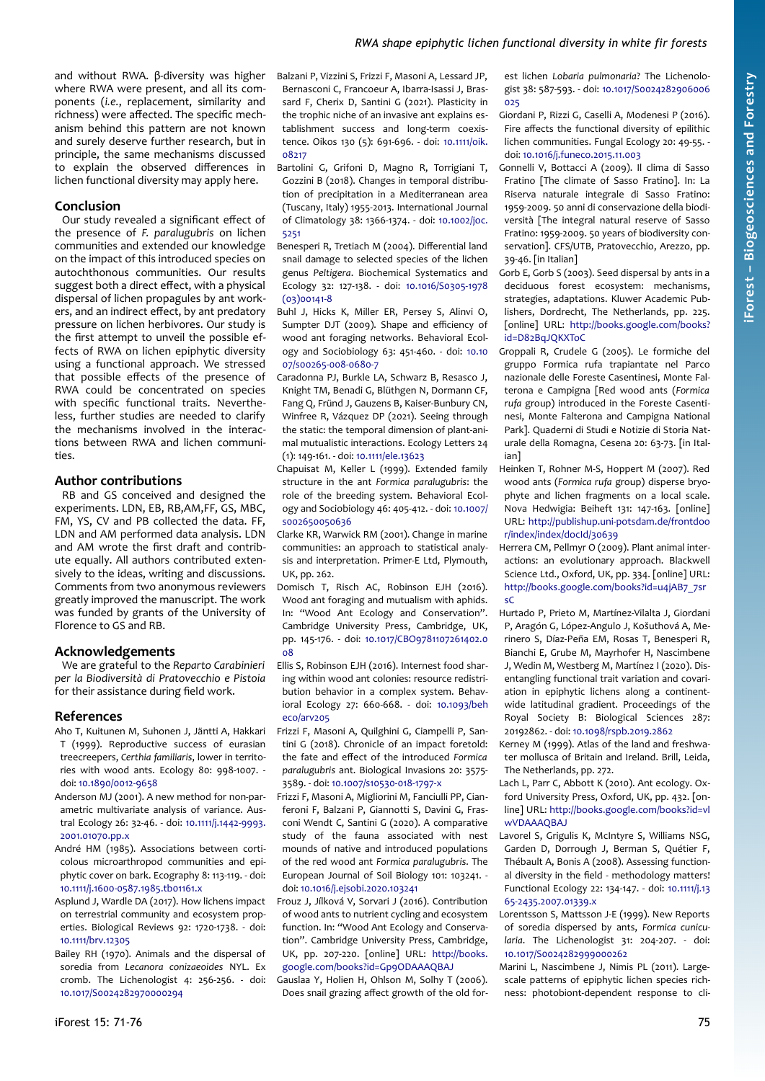and without RWA. β-diversity was higher where RWA were present, and all its components (*i.e.*, replacement, similarity and richness) were affected. The specific mechanism behind this pattern are not known and surely deserve further research, but in principle, the same mechanisms discussed to explain the observed differences in lichen functional diversity may apply here.

#### **Conclusion**

Our study revealed a significant effect of the presence of *F. paralugubris* on lichen communities and extended our knowledge on the impact of this introduced species on autochthonous communities. Our results suggest both a direct effect, with a physical dispersal of lichen propagules by ant workers, and an indirect effect, by ant predatory pressure on lichen herbivores. Our study is the first attempt to unveil the possible effects of RWA on lichen epiphytic diversity using a functional approach. We stressed that possible effects of the presence of RWA could be concentrated on species with specific functional traits. Nevertheless, further studies are needed to clarify the mechanisms involved in the interactions between RWA and lichen communities.

#### **Author contributions**

RB and GS conceived and designed the experiments. LDN, EB, RB,AM,FF, GS, MBC, FM, YS, CV and PB collected the data. FF, LDN and AM performed data analysis. LDN and AM wrote the first draft and contribute equally. All authors contributed extensively to the ideas, writing and discussions. Comments from two anonymous reviewers greatly improved the manuscript. The work was funded by grants of the University of Florence to GS and RB.

#### **Acknowledgements**

We are grateful to the *Reparto Carabinieri per la Biodiversità di Pratovecchio e Pistoia* for their assistance during field work.

#### **References**

- Aho T, Kuitunen M, Suhonen J, Jäntti A, Hakkari T (1999). Reproductive success of eurasian treecreepers, *Certhia familiaris*, lower in territories with wood ants. Ecology 80: 998-1007. doi: [10.1890/0012-9658](https://doi.org/10.1890/0012-9658)
- Anderson MJ (2001). A new method for non-parametric multivariate analysis of variance. Austral Ecology 26: 32-46. - doi: [10.1111/j.1442-9993.](https://doi.org/10.1111/j.1442-9993.2001.01070.pp.x) [2001.01070.pp.x](https://doi.org/10.1111/j.1442-9993.2001.01070.pp.x)
- André HM (1985). Associations between corticolous microarthropod communities and epiphytic cover on bark. Ecography 8: 113-119. - doi: [10.1111/j.1600-0587.1985.tb01161.x](https://doi.org/10.1111/j.1600-0587.1985.tb01161.x)
- Asplund J, Wardle DA (2017). How lichens impact on terrestrial community and ecosystem properties. Biological Reviews 92: 1720-1738. - doi: [10.1111/brv.12305](https://doi.org/10.1111/brv.12305)
- Bailey RH (1970). Animals and the dispersal of soredia from *Lecanora conizaeoides* NYL. Ex cromb. The Lichenologist 4: 256-256. - doi: [10.1017/S0024282970000294](https://doi.org/10.1017/S0024282970000294)
- Balzani P, Vizzini S, Frizzi F, Masoni A, Lessard JP, Bernasconi C, Francoeur A, Ibarra-Isassi J, Brassard F, Cherix D, Santini G (2021). Plasticity in the trophic niche of an invasive ant explains establishment success and long-term coexistence. Oikos 130 (5): 691-696. - doi: [10.1111/oik.](https://doi.org/10.1111/oik.08217) [08217](https://doi.org/10.1111/oik.08217)
- Bartolini G, Grifoni D, Magno R, Torrigiani T, Gozzini B (2018). Changes in temporal distribution of precipitation in a Mediterranean area (Tuscany, Italy) 1955-2013. International Journal of Climatology 38: 1366-1374. - doi: [10.1002/joc.](https://doi.org/10.1002/joc.5251) [5251](https://doi.org/10.1002/joc.5251)
- Benesperi R, Tretiach M (2004). Differential land snail damage to selected species of the lichen genus *Peltigera*. Biochemical Systematics and Ecology 32: 127-138. - doi: [10.1016/S0305-1978](https://doi.org/10.1016/S0305-1978(03)00141-8) [\(03\)00141-8](https://doi.org/10.1016/S0305-1978(03)00141-8)
- Buhl J, Hicks K, Miller ER, Persey S, Alinvi O, Sumpter DJT (2009). Shape and efficiency of wood ant foraging networks. Behavioral Ecology and Sociobiology 63: 451-460. - doi: [10.10](https://doi.org/10.1007/s00265-008-0680-7) [07/s00265-008-0680-7](https://doi.org/10.1007/s00265-008-0680-7)
- Caradonna PJ, Burkle LA, Schwarz B, Resasco J, Knight TM, Benadi G, Blüthgen N, Dormann CF, Fang Q, Fründ J, Gauzens B, Kaiser-Bunbury CN, Winfree R, Vázquez DP (2021). Seeing through the static: the temporal dimension of plant-animal mutualistic interactions. Ecology Letters 24 (1): 149-161. - doi: [10.1111/ele.13623](https://doi.org/10.1111/ele.13623)
- Chapuisat M, Keller L (1999). Extended family structure in the ant *Formica paralugubris*: the role of the breeding system. Behavioral Ecology and Sociobiology 46: 405-412. - doi: [10.1007/](https://doi.org/10.1007/s002650050636) [s002650050636](https://doi.org/10.1007/s002650050636)
- Clarke KR, Warwick RM (2001). Change in marine communities: an approach to statistical analysis and interpretation. Primer-E Ltd, Plymouth, UK, pp. 262.
- Domisch T, Risch AC, Robinson EJH (2016). Wood ant foraging and mutualism with aphids. In: "Wood Ant Ecology and Conservation". Cambridge University Press, Cambridge, UK, pp. 145-176. - doi: [10.1017/CBO9781107261402.0](https://doi.org/10.1017/CBO9781107261402.008) [08](https://doi.org/10.1017/CBO9781107261402.008)
- Ellis S, Robinson EJH (2016). Internest food sharing within wood ant colonies: resource redistribution behavior in a complex system. Behavioral Ecology 27: 660-668. - doi: [10.1093/beh](https://doi.org/10.1093/beheco/arv205) [eco/arv205](https://doi.org/10.1093/beheco/arv205)
- Frizzi F, Masoni A, Quilghini G, Ciampelli P, Santini G (2018). Chronicle of an impact foretold: the fate and effect of the introduced *Formica paralugubris* ant. Biological Invasions 20: 3575- 3589. - doi: [10.1007/s10530-018-1797-x](https://doi.org/10.1007/s10530-018-1797-x)
- Frizzi F, Masoni A, Migliorini M, Fanciulli PP, Cianferoni F, Balzani P, Giannotti S, Davini G, Frasconi Wendt C, Santini G (2020). A comparative study of the fauna associated with nest mounds of native and introduced populations of the red wood ant *Formica paralugubris*. The European Journal of Soil Biology 101: 103241. doi: [10.1016/j.ejsobi.2020.103241](https://doi.org/10.1016/j.ejsobi.2020.103241)
- Frouz J, Jílková V, Sorvari J (2016). Contribution of wood ants to nutrient cycling and ecosystem function. In: "Wood Ant Ecology and Conservation". Cambridge University Press, Cambridge, UK, pp. 207-220. [online] URL: [http://books.](http://books.google.com/books?id=Gp9ODAAAQBAJ) [google.com/books?id=Gp9ODAAAQBAJ](http://books.google.com/books?id=Gp9ODAAAQBAJ)

Gauslaa Y, Holien H, Ohlson M, Solhy T (2006). Does snail grazing affect growth of the old forest lichen *Lobaria pulmonaria*? The Lichenologist 38: 587-593. - doi: [10.1017/S0024282906006](https://doi.org/10.1017/S0024282906006025) [025](https://doi.org/10.1017/S0024282906006025)

- Giordani P, Rizzi G, Caselli A, Modenesi P (2016). Fire affects the functional diversity of epilithic lichen communities. Fungal Ecology 20: 49-55. doi: [10.1016/j.funeco.2015.11.003](https://doi.org/10.1016/j.funeco.2015.11.003)
- Gonnelli V, Bottacci A (2009). Il clima di Sasso Fratino [The climate of Sasso Fratino]. In: La Riserva naturale integrale di Sasso Fratino: 1959-2009. 50 anni di conservazione della biodiversità [The integral natural reserve of Sasso Fratino: 1959-2009. 50 years of biodiversity conservation]. CFS/UTB, Pratovecchio, Arezzo, pp. 39-46. [in Italian]
- Gorb E, Gorb S (2003). Seed dispersal by ants in a deciduous forest ecosystem: mechanisms, strategies, adaptations. Kluwer Academic Publishers, Dordrecht, The Netherlands, pp. 225. [online] URL: [http://books.google.com/books?](http://books.google.com/books?id=D82BqJQKXToC) [id=D82BqJQKXToC](http://books.google.com/books?id=D82BqJQKXToC)
- Groppali R, Crudele G (2005). Le formiche del gruppo Formica rufa trapiantate nel Parco nazionale delle Foreste Casentinesi, Monte Falterona e Campigna [Red wood ants (*Formica rufa* group) introduced in the Foreste Casentinesi, Monte Falterona and Campigna National Park]. Quaderni di Studi e Notizie di Storia Naturale della Romagna, Cesena 20: 63-73. [in Italian]
- Heinken T, Rohner M-S, Hoppert M (2007). Red wood ants (*Formica rufa* group) disperse bryophyte and lichen fragments on a local scale. Nova Hedwigia: Beiheft 131: 147-163. [online] URL: [http://publishup.uni-potsdam.de/frontdoo](http://publishup.uni-potsdam.de/frontdoor/index/index/docId/30639) [r/index/index/docId/30639](http://publishup.uni-potsdam.de/frontdoor/index/index/docId/30639)
- Herrera CM, Pellmyr O (2009). Plant animal interactions: an evolutionary approach. Blackwell Science Ltd., Oxford, UK, pp. 334. [online] URL: [http://books.google.com/books?id=u4jAB7\\_7sr](http://books.google.com/books?id=u4jAB7_7srsC) [sC](http://books.google.com/books?id=u4jAB7_7srsC)
- Hurtado P, Prieto M, Martínez-Vilalta J, Giordani P, Aragón G, López-Angulo J, Košuthová A, Merinero S, Díaz-Peña EM, Rosas T, Benesperi R, Bianchi E, Grube M, Mayrhofer H, Nascimbene J, Wedin M, Westberg M, Martínez I (2020). Disentangling functional trait variation and covariation in epiphytic lichens along a continentwide latitudinal gradient. Proceedings of the Royal Society B: Biological Sciences 287: 20192862. - doi: [10.1098/rspb.2019.2862](https://doi.org/10.1098/rspb.2019.2862)
- Kerney M (1999). Atlas of the land and freshwater mollusca of Britain and Ireland. Brill, Leida, The Netherlands, pp. 272.
- Lach L, Parr C, Abbott K (2010). Ant ecology. Oxford University Press, Oxford, UK, pp. 432. [online] URL: [http://books.google.com/books?id=vl](http://books.google.com/books?id=vlwVDAAAQBAJ) [wVDAAAQBAJ](http://books.google.com/books?id=vlwVDAAAQBAJ)
- Lavorel S, Grigulis K, McIntyre S, Williams NSG, Garden D, Dorrough J, Berman S, Quétier F, Thébault A, Bonis A (2008). Assessing functional diversity in the field - methodology matters! Functional Ecology 22: 134-147. - doi: [10.1111/j.13](https://doi.org/10.1111/j.1365-2435.2007.01339.x) [65-2435.2007.01339.x](https://doi.org/10.1111/j.1365-2435.2007.01339.x)
- Lorentsson S, Mattsson J-E (1999). New Reports of soredia dispersed by ants, *Formica cunicularia*. The Lichenologist 31: 204-207. - doi: [10.1017/S0024282999000262](https://doi.org/10.1017/S0024282999000262)
- Marini L, Nascimbene J, Nimis PL (2011). Largescale patterns of epiphytic lichen species richness: photobiont-dependent response to cli-